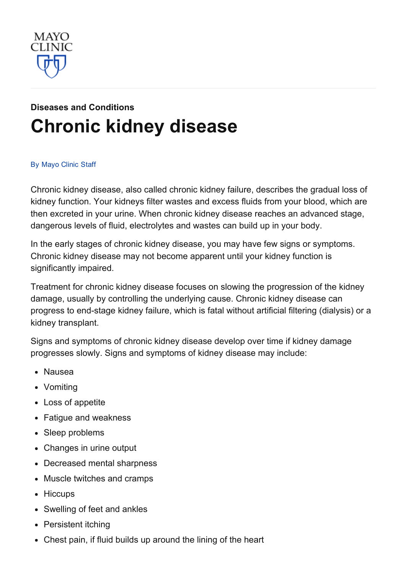

# Diseases and [Conditions](http://www.mayoclinic.org/diseases-conditions) [Chronic](http://www.mayoclinic.org/diseases-conditions/kidney-disease/basics/definition/con-20026778) kidney disease

#### By [Mayo](http://www.mayoclinic.org/about-this-site/welcome) Clinic Staff

Chronic kidney disease, also called chronic kidney failure, describes the gradual loss of kidney function. Your kidneys filter wastes and excess fluids from your blood, which are then excreted in your urine. When chronic kidney disease reaches an advanced stage, dangerous levels of fluid, electrolytes and wastes can build up in your body.

In the early stages of chronic kidney disease, you may have few signs or symptoms. Chronic kidney disease may not become apparent until your kidney function is significantly impaired.

Treatment for chronic kidney disease focuses on slowing the progression of the kidney damage, usually by controlling the underlying cause. Chronic kidney disease can progress to end-stage kidney failure, which is fatal without artificial filtering (dialysis) or a kidney transplant.

Signs and symptoms of chronic kidney disease develop over time if kidney damage progresses slowly. Signs and symptoms of kidney disease may include:

- Nausea
- Vomiting
- Loss of appetite
- Fatigue and weakness
- Sleep problems
- Changes in urine output
- Decreased mental sharpness
- Muscle twitches and cramps
- Hiccups
- Swelling of feet and ankles
- Persistent itching
- Chest pain, if fluid builds up around the lining of the heart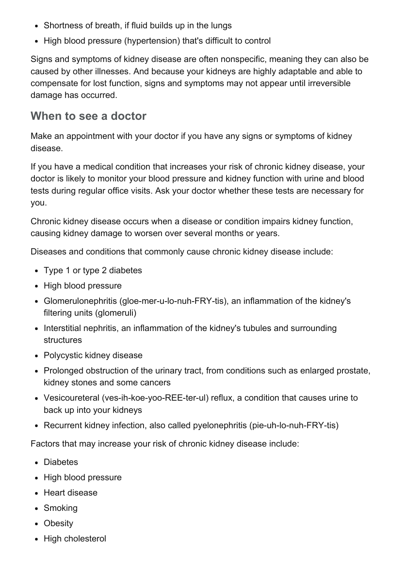- Shortness of breath, if fluid builds up in the lungs
- High blood pressure (hypertension) that's difficult to control

Signs and symptoms of kidney disease are often nonspecific, meaning they can also be caused by other illnesses. And because your kidneys are highly adaptable and able to compensate for lost function, signs and symptoms may not appear until irreversible damage has occurred.

#### When to see a doctor

Make an appointment with your doctor if you have any signs or symptoms of kidney disease.

If you have a medical condition that increases your risk of chronic kidney disease, your doctor is likely to monitor your blood pressure and kidney function with urine and blood tests during regular office visits. Ask your doctor whether these tests are necessary for you.

Chronic kidney disease occurs when a disease or condition impairs kidney function, causing kidney damage to worsen over several months or years.

Diseases and conditions that commonly cause chronic kidney disease include:

- Type 1 or type 2 diabetes
- High blood pressure
- Glomerulonephritis (gloe-mer-u-lo-nuh-FRY-tis), an inflammation of the kidney's filtering units (glomeruli)
- Interstitial nephritis, an inflammation of the kidney's tubules and surrounding structures
- Polycystic kidney disease
- Prolonged obstruction of the urinary tract, from conditions such as enlarged prostate, kidney stones and some cancers
- Vesicoureteral (ves-ih-koe-yoo-REE-ter-ul) reflux, a condition that causes urine to back up into your kidneys
- Recurrent kidney infection, also called pyelonephritis (pie-uh-lo-nuh-FRY-tis)

Factors that may increase your risk of chronic kidney disease include:

- Diabetes
- High blood pressure
- Heart disease
- Smoking
- Obesity
- High cholesterol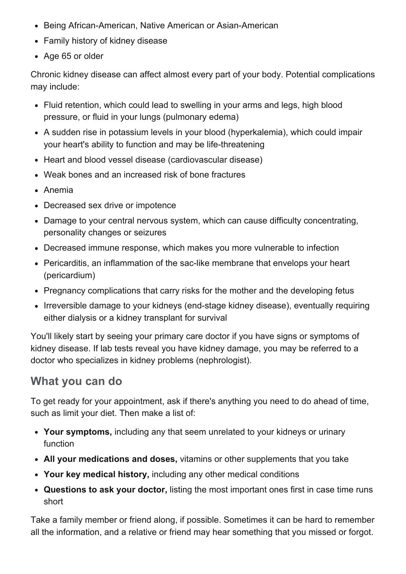- Being African-American, Native American or Asian-American
- Family history of kidney disease
- Age 65 or older

Chronic kidney disease can affect almost every part of your body. Potential complications may include:

- Fluid retention, which could lead to swelling in your arms and legs, high blood pressure, or fluid in your lungs (pulmonary edema)
- A sudden rise in potassium levels in your blood (hyperkalemia), which could impair your heart's ability to function and may be life-threatening
- Heart and blood vessel disease (cardiovascular disease)
- Weak bones and an increased risk of bone fractures
- Anemia
- Decreased sex drive or impotence
- Damage to your central nervous system, which can cause difficulty concentrating, personality changes or seizures
- Decreased immune response, which makes you more vulnerable to infection
- Pericarditis, an inflammation of the sac-like membrane that envelops your heart (pericardium)
- Pregnancy complications that carry risks for the mother and the developing fetus
- Irreversible damage to your kidneys (end-stage kidney disease), eventually requiring either dialysis or a kidney transplant for survival

You'll likely start by seeing your primary care doctor if you have signs or symptoms of kidney disease. If lab tests reveal you have kidney damage, you may be referred to a doctor who specializes in kidney problems (nephrologist).

## What you can do

To get ready for your appointment, ask if there's anything you need to do ahead of time, such as limit your diet. Then make a list of:

- Your symptoms, including any that seem unrelated to your kidneys or urinary function
- All your medications and doses, vitamins or other supplements that you take
- Your key medical history, including any other medical conditions
- Questions to ask your doctor, listing the most important ones first in case time runs short

Take a family member or friend along, if possible. Sometimes it can be hard to remember all the information, and a relative or friend may hear something that you missed or forgot.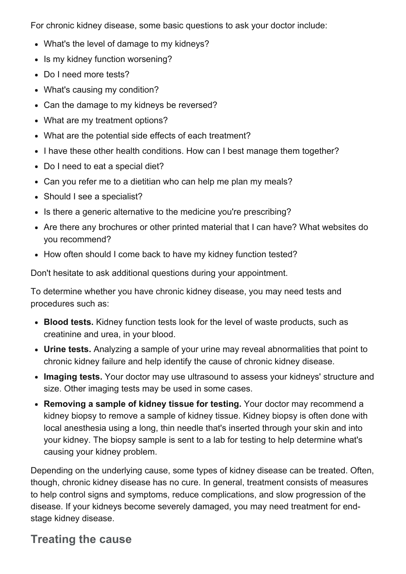For chronic kidney disease, some basic questions to ask your doctor include:

- What's the level of damage to my kidneys?
- Is my kidney function worsening?
- Do I need more tests?
- What's causing my condition?
- Can the damage to my kidneys be reversed?
- What are my treatment options?
- What are the potential side effects of each treatment?
- I have these other health conditions. How can I best manage them together?
- Do I need to eat a special diet?
- Can you refer me to a dietitian who can help me plan my meals?
- Should I see a specialist?
- Is there a generic alternative to the medicine you're prescribing?
- Are there any brochures or other printed material that I can have? What websites do you recommend?
- How often should I come back to have my kidney function tested?

Don't hesitate to ask additional questions during your appointment.

To determine whether you have chronic kidney disease, you may need tests and procedures such as:

- Blood tests. Kidney function tests look for the level of waste products, such as creatinine and urea, in your blood.
- Urine tests. Analyzing a sample of your urine may reveal abnormalities that point to chronic kidney failure and help identify the cause of chronic kidney disease.
- Imaging tests. Your doctor may use ultrasound to assess your kidneys' structure and size. Other imaging tests may be used in some cases.
- Removing a sample of kidney tissue for testing. Your doctor may recommend a kidney biopsy to remove a sample of kidney tissue. Kidney biopsy is often done with local anesthesia using a long, thin needle that's inserted through your skin and into your kidney. The biopsy sample is sent to a lab for testing to help determine what's causing your kidney problem.

Depending on the underlying cause, some types of kidney disease can be treated. Often, though, chronic kidney disease has no cure. In general, treatment consists of measures to help control signs and symptoms, reduce complications, and slow progression of the disease. If your kidneys become severely damaged, you may need treatment for endstage kidney disease.

#### Treating the cause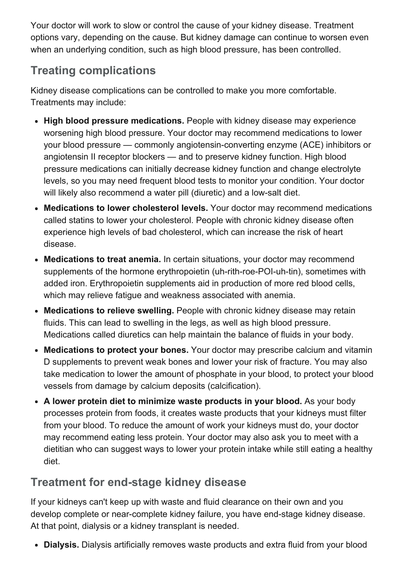Your doctor will work to slow or control the cause of your kidney disease. Treatment options vary, depending on the cause. But kidney damage can continue to worsen even when an underlying condition, such as high blood pressure, has been controlled.

# Treating complications

Kidney disease complications can be controlled to make you more comfortable. Treatments may include:

- High blood pressure medications. People with kidney disease may experience worsening high blood pressure. Your doctor may recommend medications to lower your blood pressure — commonly angiotensin-converting enzyme (ACE) inhibitors or angiotensin II receptor blockers — and to preserve kidney function. High blood pressure medications can initially decrease kidney function and change electrolyte levels, so you may need frequent blood tests to monitor your condition. Your doctor will likely also recommend a water pill (diuretic) and a low-salt diet.
- Medications to lower cholesterol levels. Your doctor may recommend medications called statins to lower your cholesterol. People with chronic kidney disease often experience high levels of bad cholesterol, which can increase the risk of heart disease.
- Medications to treat anemia. In certain situations, your doctor may recommend supplements of the hormone erythropoietin (uh-rith-roe-POI-uh-tin), sometimes with added iron. Erythropoietin supplements aid in production of more red blood cells, which may relieve fatigue and weakness associated with anemia.
- Medications to relieve swelling. People with chronic kidney disease may retain fluids. This can lead to swelling in the legs, as well as high blood pressure. Medications called diuretics can help maintain the balance of fluids in your body.
- Medications to protect your bones. Your doctor may prescribe calcium and vitamin D supplements to prevent weak bones and lower your risk of fracture. You may also take medication to lower the amount of phosphate in your blood, to protect your blood vessels from damage by calcium deposits (calcification).
- A lower protein diet to minimize waste products in your blood. As your body processes protein from foods, it creates waste products that your kidneys must filter from your blood. To reduce the amount of work your kidneys must do, your doctor may recommend eating less protein. Your doctor may also ask you to meet with a dietitian who can suggest ways to lower your protein intake while still eating a healthy diet.

## Treatment for end-stage kidney disease

If your kidneys can't keep up with waste and fluid clearance on their own and you develop complete or near-complete kidney failure, you have end-stage kidney disease. At that point, dialysis or a kidney transplant is needed.

• Dialysis. Dialysis artificially removes waste products and extra fluid from your blood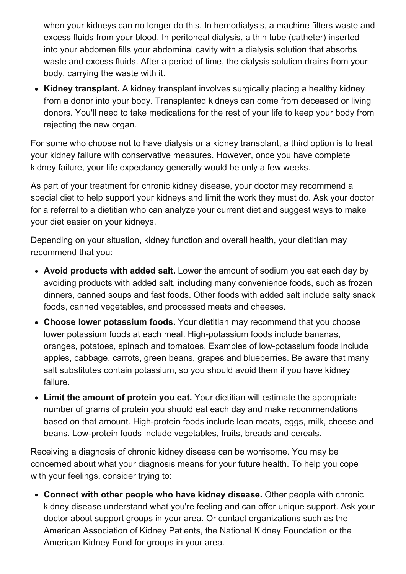when your kidneys can no longer do this. In hemodialysis, a machine filters waste and excess fluids from your blood. In peritoneal dialysis, a thin tube (catheter) inserted into your abdomen fills your abdominal cavity with a dialysis solution that absorbs waste and excess fluids. After a period of time, the dialysis solution drains from your body, carrying the waste with it.

• Kidney transplant. A kidney transplant involves surgically placing a healthy kidney from a donor into your body. Transplanted kidneys can come from deceased or living donors. You'll need to take medications for the rest of your life to keep your body from rejecting the new organ.

For some who choose not to have dialysis or a kidney transplant, a third option is to treat your kidney failure with conservative measures. However, once you have complete kidney failure, your life expectancy generally would be only a few weeks.

As part of your treatment for chronic kidney disease, your doctor may recommend a special diet to help support your kidneys and limit the work they must do. Ask your doctor for a referral to a dietitian who can analyze your current diet and suggest ways to make your diet easier on your kidneys.

Depending on your situation, kidney function and overall health, your dietitian may recommend that you:

- Avoid products with added salt. Lower the amount of sodium you eat each day by avoiding products with added salt, including many convenience foods, such as frozen dinners, canned soups and fast foods. Other foods with added salt include salty snack foods, canned vegetables, and processed meats and cheeses.
- Choose lower potassium foods. Your dietitian may recommend that you choose lower potassium foods at each meal. High-potassium foods include bananas, oranges, potatoes, spinach and tomatoes. Examples of lowpotassium foods include apples, cabbage, carrots, green beans, grapes and blueberries. Be aware that many salt substitutes contain potassium, so you should avoid them if you have kidney failure.
- Limit the amount of protein you eat. Your dietitian will estimate the appropriate number of grams of protein you should eat each day and make recommendations based on that amount. High-protein foods include lean meats, eggs, milk, cheese and beans. Low-protein foods include vegetables, fruits, breads and cereals.

Receiving a diagnosis of chronic kidney disease can be worrisome. You may be concerned about what your diagnosis means for your future health. To help you cope with your feelings, consider trying to:

Connect with other people who have kidney disease. Other people with chronic kidney disease understand what you're feeling and can offer unique support. Ask your doctor about support groups in your area. Or contact organizations such as the American Association of Kidney Patients, the National Kidney Foundation or the American Kidney Fund for groups in your area.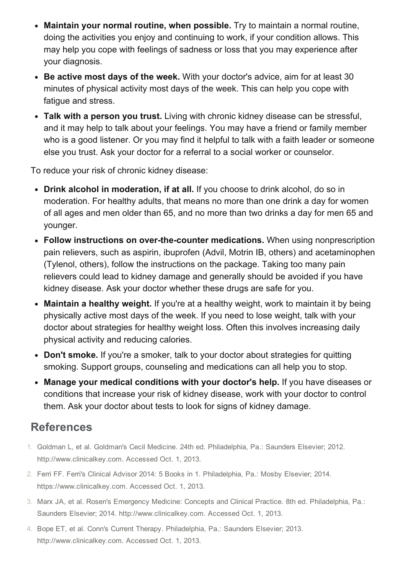- Maintain your normal routine, when possible. Try to maintain a normal routine, doing the activities you enjoy and continuing to work, if your condition allows. This may help you cope with feelings of sadness or loss that you may experience after your diagnosis.
- Be active most days of the week. With your doctor's advice, aim for at least 30 minutes of physical activity most days of the week. This can help you cope with fatigue and stress.
- Talk with a person you trust. Living with chronic kidney disease can be stressful, and it may help to talk about your feelings. You may have a friend or family member who is a good listener. Or you may find it helpful to talk with a faith leader or someone else you trust. Ask your doctor for a referral to a social worker or counselor.

To reduce your risk of chronic kidney disease:

- Drink alcohol in moderation, if at all. If you choose to drink alcohol, do so in moderation. For healthy adults, that means no more than one drink a day for women of all ages and men older than 65, and no more than two drinks a day for men 65 and younger.
- Follow instructions on over-the-counter medications. When using nonprescription pain relievers, such as aspirin, ibuprofen (Advil, Motrin IB, others) and acetaminophen (Tylenol, others), follow the instructions on the package. Taking too many pain relievers could lead to kidney damage and generally should be avoided if you have kidney disease. Ask your doctor whether these drugs are safe for you.
- Maintain a healthy weight. If you're at a healthy weight, work to maintain it by being physically active most days of the week. If you need to lose weight, talk with your doctor about strategies for healthy weight loss. Often this involves increasing daily physical activity and reducing calories.
- Don't smoke. If you're a smoker, talk to your doctor about strategies for quitting smoking. Support groups, counseling and medications can all help you to stop.
- Manage your medical conditions with your doctor's help. If you have diseases or conditions that increase your risk of kidney disease, work with your doctor to control them. Ask your doctor about tests to look for signs of kidney damage.

## References

- 1. Goldman L, et al. Goldman's Cecil Medicine. 24th ed. Philadelphia, Pa.: Saunders Elsevier; 2012. http://www.clinicalkey.com. Accessed Oct. 1, 2013.
- 2. Ferri FF. Ferri's Clinical Advisor 2014: 5 Books in 1. Philadelphia, Pa.: Mosby Elsevier; 2014. https://www.clinicalkey.com. Accessed Oct. 1, 2013.
- 3. Marx JA, et al. Rosen's Emergency Medicine: Concepts and Clinical Practice. 8th ed. Philadelphia, Pa.: Saunders Elsevier; 2014. http://www.clinicalkey.com. Accessed Oct. 1, 2013.
- 4. Bope ET, et al. Conn's Current Therapy. Philadelphia, Pa.: Saunders Elsevier; 2013. http://www.clinicalkey.com. Accessed Oct. 1, 2013.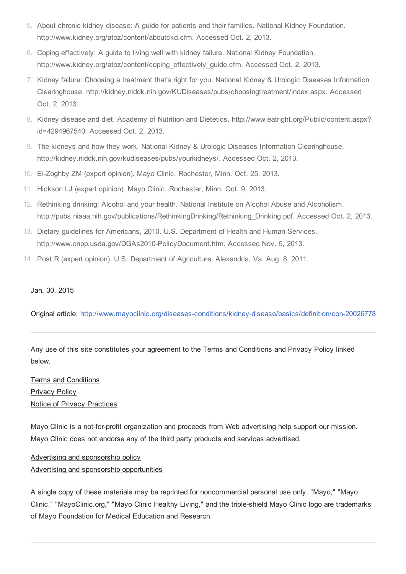- 5. About chronic kidney disease: A guide for patients and their families. National Kidney Foundation. http://www.kidney.org/atoz/content/aboutckd.cfm. Accessed Oct. 2, 2013.
- 6. Coping effectively: A guide to living well with kidney failure. National Kidney Foundation. http://www.kidney.org/atoz/content/coping\_effectively\_guide.cfm. Accessed Oct. 2, 2013.
- 7. Kidney failure: Choosing a treatment that's right for you. National Kidney & Urologic Diseases Information Clearinghouse. http://kidney.niddk.nih.gov/KUDiseases/pubs/choosingtreatment/index.aspx. Accessed Oct. 2, 2013.
- 8. Kidney disease and diet. Academy of Nutrition and Dietetics. http://www.eatright.org/Public/content.aspx? id=4294967540. Accessed Oct. 2, 2013.
- 9. The kidneys and how they work. National Kidney & Urologic Diseases Information Clearinghouse. http://kidney.niddk.nih.gov/kudiseases/pubs/yourkidneys/. Accessed Oct. 2, 2013.
- 10. El-Zoghby ZM (expert opinion). Mayo Clinic, Rochester, Minn. Oct. 25, 2013.
- 11. Hickson LJ (expert opinion). Mayo Clinic, Rochester, Minn. Oct. 9, 2013.
- 12. Rethinking drinking: Alcohol and your health. National Institute on Alcohol Abuse and Alcoholism. http://pubs.niaaa.nih.gov/publications/RethinkingDrinking/Rethinking\_Drinking.pdf. Accessed Oct. 2, 2013.
- 13. Dietary guidelines for Americans, 2010. U.S. Department of Health and Human Services. http://www.cnpp.usda.gov/DGAs2010-PolicyDocument.htm. Accessed Nov. 5, 2013.
- 14. Post R (expert opinion). U.S. Department of Agriculture, Alexandria, Va. Aug. 8, 2011.

#### Jan. 30, 2015

Original article: http://www.mayoclinic.org/diseases-conditions/kidney-disease/basics/definition/con-20026778

Any use of this site constitutes your agreement to the Terms and Conditions and Privacy Policy linked below.

#### Terms and [Conditions](http://www.mayoclinic.org/about-this-site/terms-conditions-use-policy) [Privacy](http://www.mayoclinic.org/about-this-site/privacy-policy) Policy Notice of Privacy [Practices](http://www.mayoclinic.org/about-mayo-clinic/notice-of-privacy-practices)

Mayo Clinic is a not-for-profit organization and proceeds from Web advertising help support our mission. Mayo Clinic does not endorse any of the third party products and services advertised.

#### Advertising and [sponsorship](http://www.mayoclinic.org/about-this-site/advertising-sponsorship-policy) policy Advertising and sponsorship [opportunities](http://www.mayoclinic.org/about-this-site/advertising-sponsorship)

A single copy of these materials may be reprinted for noncommercial personal use only. "Mayo," "Mayo Clinic," "MayoClinic.org," "Mayo Clinic Healthy Living," and the tripleshield Mayo Clinic logo are trademarks of Mayo Foundation for Medical Education and Research.